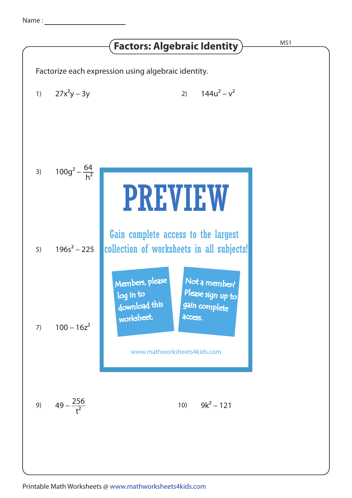